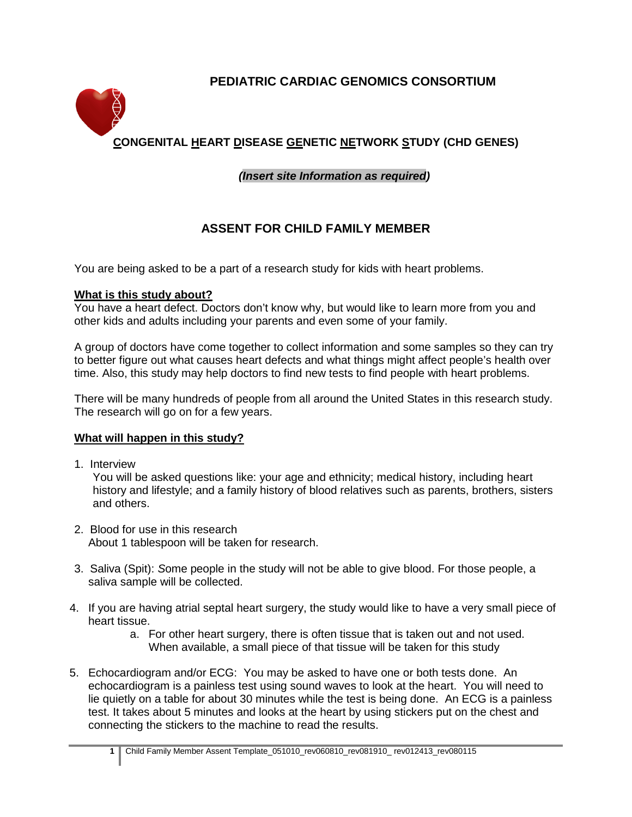# **PEDIATRIC CARDIAC GENOMICS CONSORTIUM**



# **CONGENITAL HEART DISEASE GENETIC NETWORK STUDY (CHD GENES)**

# *(Insert site Information as required)*

# **ASSENT FOR CHILD FAMILY MEMBER**

You are being asked to be a part of a research study for kids with heart problems.

#### **What is this study about?**

You have a heart defect. Doctors don't know why, but would like to learn more from you and other kids and adults including your parents and even some of your family.

A group of doctors have come together to collect information and some samples so they can try to better figure out what causes heart defects and what things might affect people's health over time. Also, this study may help doctors to find new tests to find people with heart problems.

There will be many hundreds of people from all around the United States in this research study. The research will go on for a few years.

### **What will happen in this study?**

1. Interview

You will be asked questions like: your age and ethnicity; medical history, including heart history and lifestyle; and a family history of blood relatives such as parents, brothers, sisters and others.

- 2. Blood for use in this research About 1 tablespoon will be taken for research.
- 3. Saliva (Spit): *S*ome people in the study will not be able to give blood. For those people, a saliva sample will be collected.
- 4. If you are having atrial septal heart surgery, the study would like to have a very small piece of heart tissue.
	- a. For other heart surgery, there is often tissue that is taken out and not used. When available, a small piece of that tissue will be taken for this study
- 5. Echocardiogram and/or ECG: You may be asked to have one or both tests done. An echocardiogram is a painless test using sound waves to look at the heart. You will need to lie quietly on a table for about 30 minutes while the test is being done. An ECG is a painless test. It takes about 5 minutes and looks at the heart by using stickers put on the chest and connecting the stickers to the machine to read the results.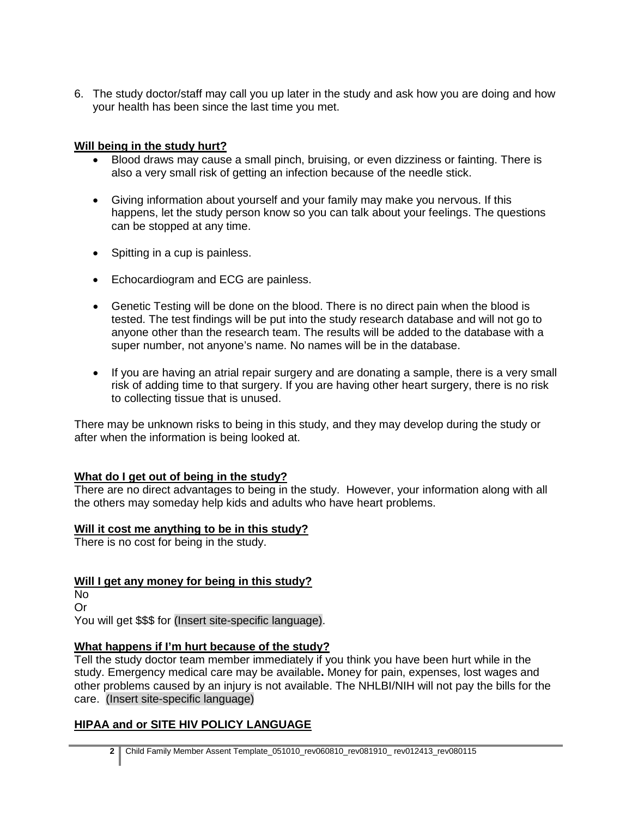6. The study doctor/staff may call you up later in the study and ask how you are doing and how your health has been since the last time you met.

## **Will being in the study hurt?**

- Blood draws may cause a small pinch, bruising, or even dizziness or fainting. There is also a very small risk of getting an infection because of the needle stick.
- Giving information about yourself and your family may make you nervous. If this happens, let the study person know so you can talk about your feelings. The questions can be stopped at any time.
- Spitting in a cup is painless.
- Echocardiogram and ECG are painless.
- Genetic Testing will be done on the blood. There is no direct pain when the blood is tested. The test findings will be put into the study research database and will not go to anyone other than the research team. The results will be added to the database with a super number, not anyone's name. No names will be in the database.
- If you are having an atrial repair surgery and are donating a sample, there is a very small risk of adding time to that surgery. If you are having other heart surgery, there is no risk to collecting tissue that is unused.

There may be unknown risks to being in this study, and they may develop during the study or after when the information is being looked at.

# **What do I get out of being in the study?**

There are no direct advantages to being in the study. However, your information along with all the others may someday help kids and adults who have heart problems.

### **Will it cost me anything to be in this study?**

There is no cost for being in the study.

# **Will I get any money for being in this study?**

No Or

You will get \$\$\$ for (Insert site-specific language).

### **What happens if I'm hurt because of the study?**

Tell the study doctor team member immediately if you think you have been hurt while in the study. Emergency medical care may be available**.** Money for pain, expenses, lost wages and other problems caused by an injury is not available. The NHLBI/NIH will not pay the bills for the care. (Insert site-specific language)

# **HIPAA and or SITE HIV POLICY LANGUAGE**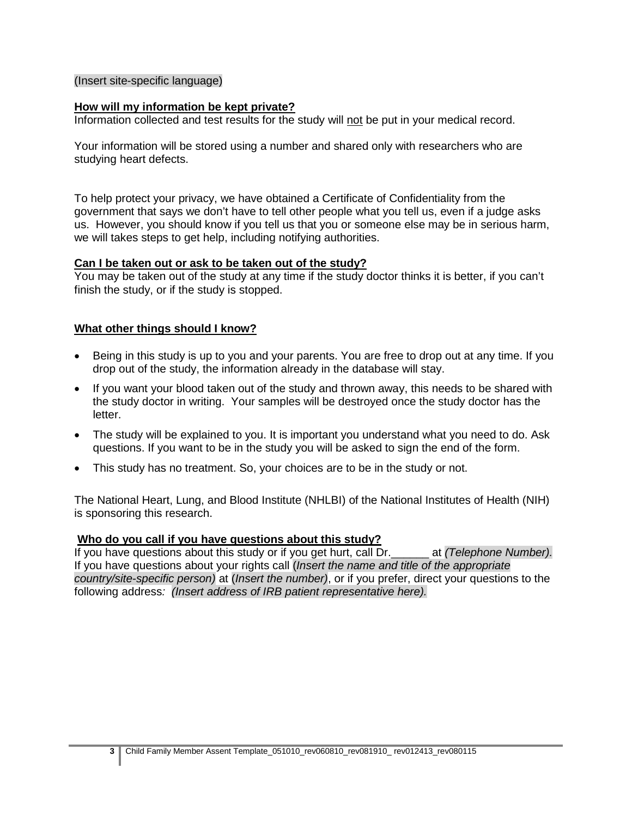#### (Insert site-specific language)

#### **How will my information be kept private?**

Information collected and test results for the study will not be put in your medical record.

Your information will be stored using a number and shared only with researchers who are studying heart defects.

To help protect your privacy, we have obtained a Certificate of Confidentiality from the government that says we don't have to tell other people what you tell us, even if a judge asks us. However, you should know if you tell us that you or someone else may be in serious harm, we will takes steps to get help, including notifying authorities.

#### **Can I be taken out or ask to be taken out of the study?**

You may be taken out of the study at any time if the study doctor thinks it is better, if you can't finish the study, or if the study is stopped.

#### **What other things should I know?**

- Being in this study is up to you and your parents. You are free to drop out at any time. If you drop out of the study, the information already in the database will stay.
- If you want your blood taken out of the study and thrown away, this needs to be shared with the study doctor in writing. Your samples will be destroyed once the study doctor has the letter.
- The study will be explained to you. It is important you understand what you need to do. Ask questions. If you want to be in the study you will be asked to sign the end of the form.
- This study has no treatment. So, your choices are to be in the study or not.

The National Heart, Lung, and Blood Institute (NHLBI) of the National Institutes of Health (NIH) is sponsoring this research.

#### **Who do you call if you have questions about this study?**

If you have questions about this study or if you get hurt, call Dr.\_\_\_\_\_\_ at *(Telephone Number).*  If you have questions about your rights call (*Insert the name and title of the appropriate country/site-specific person)* at (*Insert the number)*, or if you prefer, direct your questions to the following address*: (Insert address of IRB patient representative here).*